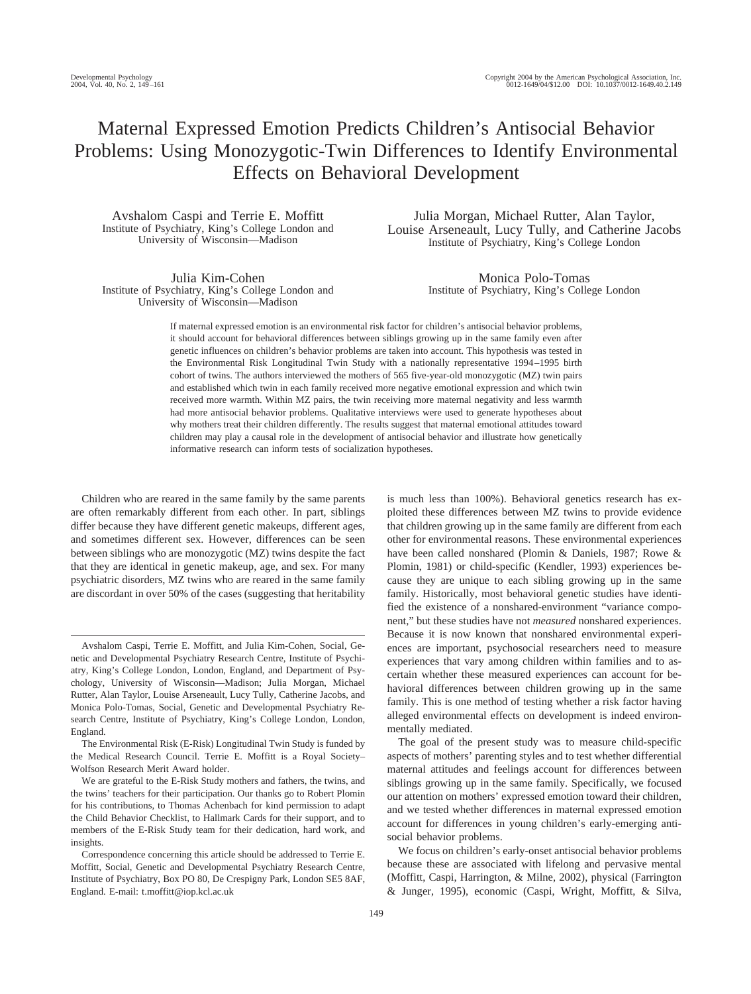# Maternal Expressed Emotion Predicts Children's Antisocial Behavior Problems: Using Monozygotic-Twin Differences to Identify Environmental Effects on Behavioral Development

Avshalom Caspi and Terrie E. Moffitt Institute of Psychiatry, King's College London and University of Wisconsin—Madison

Julia Kim-Cohen Institute of Psychiatry, King's College London and University of Wisconsin—Madison

Julia Morgan, Michael Rutter, Alan Taylor, Louise Arseneault, Lucy Tully, and Catherine Jacobs Institute of Psychiatry, King's College London

> Monica Polo-Tomas Institute of Psychiatry, King's College London

If maternal expressed emotion is an environmental risk factor for children's antisocial behavior problems, it should account for behavioral differences between siblings growing up in the same family even after genetic influences on children's behavior problems are taken into account. This hypothesis was tested in the Environmental Risk Longitudinal Twin Study with a nationally representative 1994–1995 birth cohort of twins. The authors interviewed the mothers of 565 five-year-old monozygotic (MZ) twin pairs and established which twin in each family received more negative emotional expression and which twin received more warmth. Within MZ pairs, the twin receiving more maternal negativity and less warmth had more antisocial behavior problems. Qualitative interviews were used to generate hypotheses about why mothers treat their children differently. The results suggest that maternal emotional attitudes toward children may play a causal role in the development of antisocial behavior and illustrate how genetically informative research can inform tests of socialization hypotheses.

Children who are reared in the same family by the same parents are often remarkably different from each other. In part, siblings differ because they have different genetic makeups, different ages, and sometimes different sex. However, differences can be seen between siblings who are monozygotic (MZ) twins despite the fact that they are identical in genetic makeup, age, and sex. For many psychiatric disorders, MZ twins who are reared in the same family are discordant in over 50% of the cases (suggesting that heritability

The Environmental Risk (E-Risk) Longitudinal Twin Study is funded by the Medical Research Council. Terrie E. Moffitt is a Royal Society– Wolfson Research Merit Award holder.

We are grateful to the E-Risk Study mothers and fathers, the twins, and the twins' teachers for their participation. Our thanks go to Robert Plomin for his contributions, to Thomas Achenbach for kind permission to adapt the Child Behavior Checklist, to Hallmark Cards for their support, and to members of the E-Risk Study team for their dedication, hard work, and insights.

is much less than 100%). Behavioral genetics research has exploited these differences between MZ twins to provide evidence that children growing up in the same family are different from each other for environmental reasons. These environmental experiences have been called nonshared (Plomin & Daniels, 1987; Rowe & Plomin, 1981) or child-specific (Kendler, 1993) experiences because they are unique to each sibling growing up in the same family. Historically, most behavioral genetic studies have identified the existence of a nonshared-environment "variance component," but these studies have not *measured* nonshared experiences. Because it is now known that nonshared environmental experiences are important, psychosocial researchers need to measure experiences that vary among children within families and to ascertain whether these measured experiences can account for behavioral differences between children growing up in the same family. This is one method of testing whether a risk factor having alleged environmental effects on development is indeed environmentally mediated.

The goal of the present study was to measure child-specific aspects of mothers' parenting styles and to test whether differential maternal attitudes and feelings account for differences between siblings growing up in the same family. Specifically, we focused our attention on mothers' expressed emotion toward their children, and we tested whether differences in maternal expressed emotion account for differences in young children's early-emerging antisocial behavior problems.

We focus on children's early-onset antisocial behavior problems because these are associated with lifelong and pervasive mental (Moffitt, Caspi, Harrington, & Milne, 2002), physical (Farrington & Junger, 1995), economic (Caspi, Wright, Moffitt, & Silva,

Avshalom Caspi, Terrie E. Moffitt, and Julia Kim-Cohen, Social, Genetic and Developmental Psychiatry Research Centre, Institute of Psychiatry, King's College London, London, England, and Department of Psychology, University of Wisconsin—Madison; Julia Morgan, Michael Rutter, Alan Taylor, Louise Arseneault, Lucy Tully, Catherine Jacobs, and Monica Polo-Tomas, Social, Genetic and Developmental Psychiatry Research Centre, Institute of Psychiatry, King's College London, London, England.

Correspondence concerning this article should be addressed to Terrie E. Moffitt, Social, Genetic and Developmental Psychiatry Research Centre, Institute of Psychiatry, Box PO 80, De Crespigny Park, London SE5 8AF, England. E-mail: t.moffitt@iop.kcl.ac.uk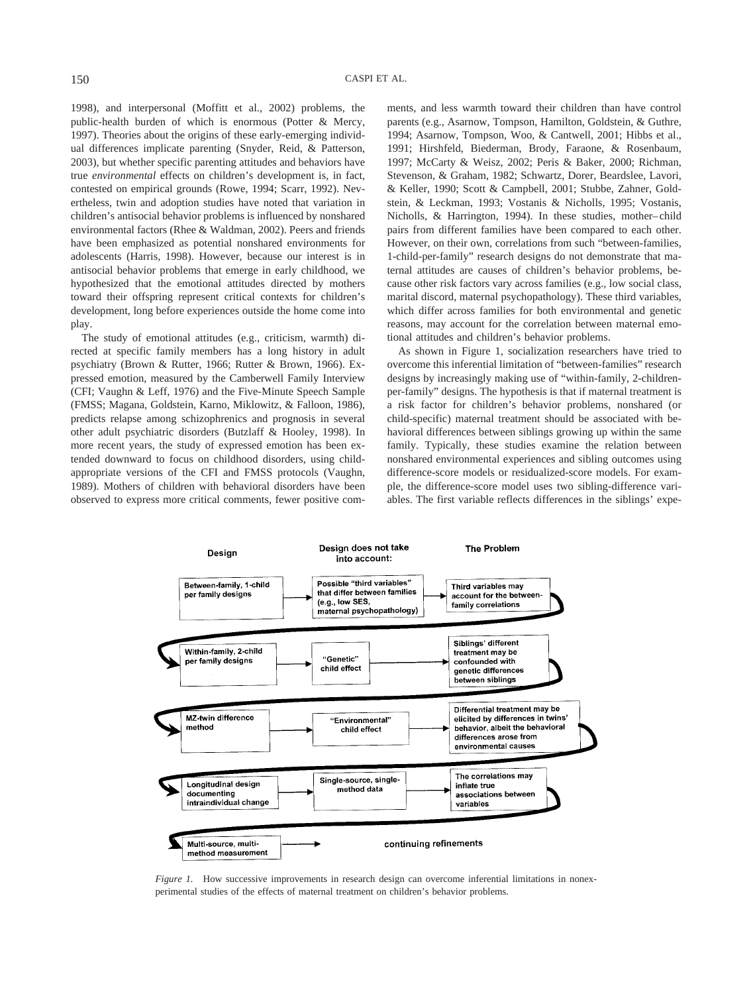1998), and interpersonal (Moffitt et al., 2002) problems, the public-health burden of which is enormous (Potter & Mercy, 1997). Theories about the origins of these early-emerging individual differences implicate parenting (Snyder, Reid, & Patterson, 2003), but whether specific parenting attitudes and behaviors have true *environmental* effects on children's development is, in fact, contested on empirical grounds (Rowe, 1994; Scarr, 1992). Nevertheless, twin and adoption studies have noted that variation in children's antisocial behavior problems is influenced by nonshared environmental factors (Rhee & Waldman, 2002). Peers and friends have been emphasized as potential nonshared environments for adolescents (Harris, 1998). However, because our interest is in antisocial behavior problems that emerge in early childhood, we hypothesized that the emotional attitudes directed by mothers toward their offspring represent critical contexts for children's development, long before experiences outside the home come into play.

The study of emotional attitudes (e.g., criticism, warmth) directed at specific family members has a long history in adult psychiatry (Brown & Rutter, 1966; Rutter & Brown, 1966). Expressed emotion, measured by the Camberwell Family Interview (CFI; Vaughn & Leff, 1976) and the Five-Minute Speech Sample (FMSS; Magana, Goldstein, Karno, Miklowitz, & Falloon, 1986), predicts relapse among schizophrenics and prognosis in several other adult psychiatric disorders (Butzlaff & Hooley, 1998). In more recent years, the study of expressed emotion has been extended downward to focus on childhood disorders, using childappropriate versions of the CFI and FMSS protocols (Vaughn, 1989). Mothers of children with behavioral disorders have been observed to express more critical comments, fewer positive comments, and less warmth toward their children than have control parents (e.g., Asarnow, Tompson, Hamilton, Goldstein, & Guthre, 1994; Asarnow, Tompson, Woo, & Cantwell, 2001; Hibbs et al., 1991; Hirshfeld, Biederman, Brody, Faraone, & Rosenbaum, 1997; McCarty & Weisz, 2002; Peris & Baker, 2000; Richman, Stevenson, & Graham, 1982; Schwartz, Dorer, Beardslee, Lavori, & Keller, 1990; Scott & Campbell, 2001; Stubbe, Zahner, Goldstein, & Leckman, 1993; Vostanis & Nicholls, 1995; Vostanis, Nicholls, & Harrington, 1994). In these studies, mother–child pairs from different families have been compared to each other. However, on their own, correlations from such "between-families, 1-child-per-family" research designs do not demonstrate that maternal attitudes are causes of children's behavior problems, because other risk factors vary across families (e.g., low social class, marital discord, maternal psychopathology). These third variables, which differ across families for both environmental and genetic reasons, may account for the correlation between maternal emotional attitudes and children's behavior problems.

As shown in Figure 1, socialization researchers have tried to overcome this inferential limitation of "between-families" research designs by increasingly making use of "within-family, 2-childrenper-family" designs. The hypothesis is that if maternal treatment is a risk factor for children's behavior problems, nonshared (or child-specific) maternal treatment should be associated with behavioral differences between siblings growing up within the same family. Typically, these studies examine the relation between nonshared environmental experiences and sibling outcomes using difference-score models or residualized-score models. For example, the difference-score model uses two sibling-difference variables. The first variable reflects differences in the siblings' expe-



*Figure 1.* How successive improvements in research design can overcome inferential limitations in nonexperimental studies of the effects of maternal treatment on children's behavior problems.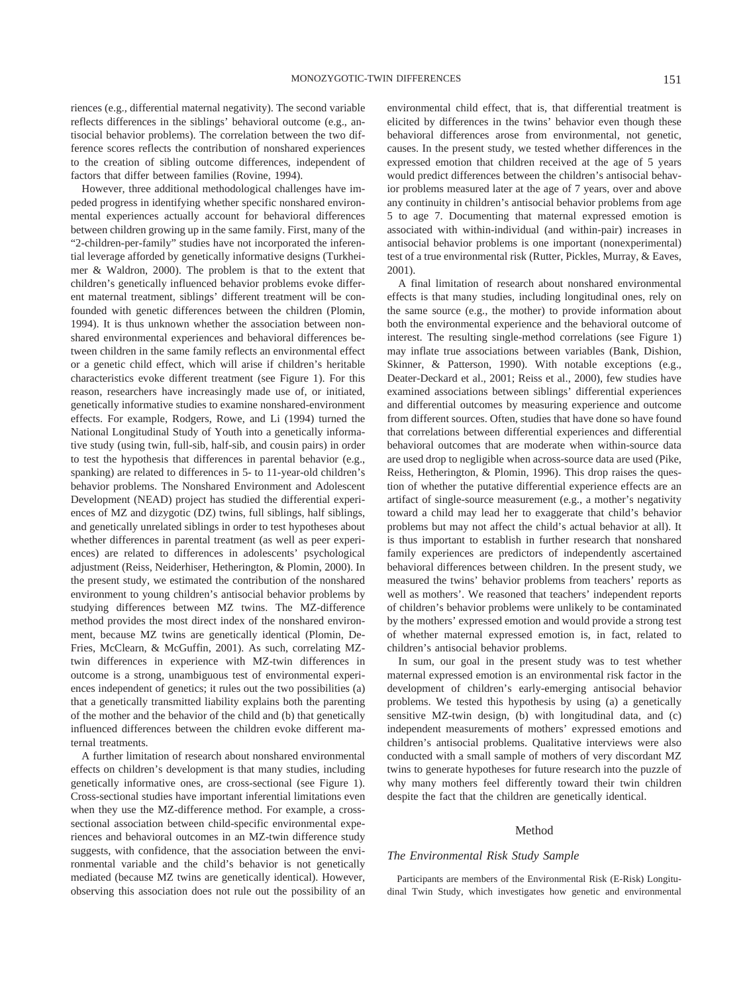riences (e.g., differential maternal negativity). The second variable reflects differences in the siblings' behavioral outcome (e.g., antisocial behavior problems). The correlation between the two difference scores reflects the contribution of nonshared experiences to the creation of sibling outcome differences, independent of factors that differ between families (Rovine, 1994).

However, three additional methodological challenges have impeded progress in identifying whether specific nonshared environmental experiences actually account for behavioral differences between children growing up in the same family. First, many of the "2-children-per-family" studies have not incorporated the inferential leverage afforded by genetically informative designs (Turkheimer & Waldron, 2000). The problem is that to the extent that children's genetically influenced behavior problems evoke different maternal treatment, siblings' different treatment will be confounded with genetic differences between the children (Plomin, 1994). It is thus unknown whether the association between nonshared environmental experiences and behavioral differences between children in the same family reflects an environmental effect or a genetic child effect, which will arise if children's heritable characteristics evoke different treatment (see Figure 1). For this reason, researchers have increasingly made use of, or initiated, genetically informative studies to examine nonshared-environment effects. For example, Rodgers, Rowe, and Li (1994) turned the National Longitudinal Study of Youth into a genetically informative study (using twin, full-sib, half-sib, and cousin pairs) in order to test the hypothesis that differences in parental behavior (e.g., spanking) are related to differences in 5- to 11-year-old children's behavior problems. The Nonshared Environment and Adolescent Development (NEAD) project has studied the differential experiences of MZ and dizygotic (DZ) twins, full siblings, half siblings, and genetically unrelated siblings in order to test hypotheses about whether differences in parental treatment (as well as peer experiences) are related to differences in adolescents' psychological adjustment (Reiss, Neiderhiser, Hetherington, & Plomin, 2000). In the present study, we estimated the contribution of the nonshared environment to young children's antisocial behavior problems by studying differences between MZ twins. The MZ-difference method provides the most direct index of the nonshared environment, because MZ twins are genetically identical (Plomin, De-Fries, McClearn, & McGuffin, 2001). As such, correlating MZtwin differences in experience with MZ-twin differences in outcome is a strong, unambiguous test of environmental experiences independent of genetics; it rules out the two possibilities (a) that a genetically transmitted liability explains both the parenting of the mother and the behavior of the child and (b) that genetically influenced differences between the children evoke different maternal treatments.

A further limitation of research about nonshared environmental effects on children's development is that many studies, including genetically informative ones, are cross-sectional (see Figure 1). Cross-sectional studies have important inferential limitations even when they use the MZ-difference method. For example, a crosssectional association between child-specific environmental experiences and behavioral outcomes in an MZ-twin difference study suggests, with confidence, that the association between the environmental variable and the child's behavior is not genetically mediated (because MZ twins are genetically identical). However, observing this association does not rule out the possibility of an

environmental child effect, that is, that differential treatment is elicited by differences in the twins' behavior even though these behavioral differences arose from environmental, not genetic, causes. In the present study, we tested whether differences in the expressed emotion that children received at the age of 5 years would predict differences between the children's antisocial behavior problems measured later at the age of 7 years, over and above any continuity in children's antisocial behavior problems from age 5 to age 7. Documenting that maternal expressed emotion is associated with within-individual (and within-pair) increases in antisocial behavior problems is one important (nonexperimental) test of a true environmental risk (Rutter, Pickles, Murray, & Eaves, 2001).

A final limitation of research about nonshared environmental effects is that many studies, including longitudinal ones, rely on the same source (e.g., the mother) to provide information about both the environmental experience and the behavioral outcome of interest. The resulting single-method correlations (see Figure 1) may inflate true associations between variables (Bank, Dishion, Skinner, & Patterson, 1990). With notable exceptions (e.g., Deater-Deckard et al., 2001; Reiss et al., 2000), few studies have examined associations between siblings' differential experiences and differential outcomes by measuring experience and outcome from different sources. Often, studies that have done so have found that correlations between differential experiences and differential behavioral outcomes that are moderate when within-source data are used drop to negligible when across-source data are used (Pike, Reiss, Hetherington, & Plomin, 1996). This drop raises the question of whether the putative differential experience effects are an artifact of single-source measurement (e.g., a mother's negativity toward a child may lead her to exaggerate that child's behavior problems but may not affect the child's actual behavior at all). It is thus important to establish in further research that nonshared family experiences are predictors of independently ascertained behavioral differences between children. In the present study, we measured the twins' behavior problems from teachers' reports as well as mothers'. We reasoned that teachers' independent reports of children's behavior problems were unlikely to be contaminated by the mothers' expressed emotion and would provide a strong test of whether maternal expressed emotion is, in fact, related to children's antisocial behavior problems.

In sum, our goal in the present study was to test whether maternal expressed emotion is an environmental risk factor in the development of children's early-emerging antisocial behavior problems. We tested this hypothesis by using (a) a genetically sensitive MZ-twin design, (b) with longitudinal data, and (c) independent measurements of mothers' expressed emotions and children's antisocial problems. Qualitative interviews were also conducted with a small sample of mothers of very discordant MZ twins to generate hypotheses for future research into the puzzle of why many mothers feel differently toward their twin children despite the fact that the children are genetically identical.

#### Method

#### *The Environmental Risk Study Sample*

Participants are members of the Environmental Risk (E-Risk) Longitudinal Twin Study, which investigates how genetic and environmental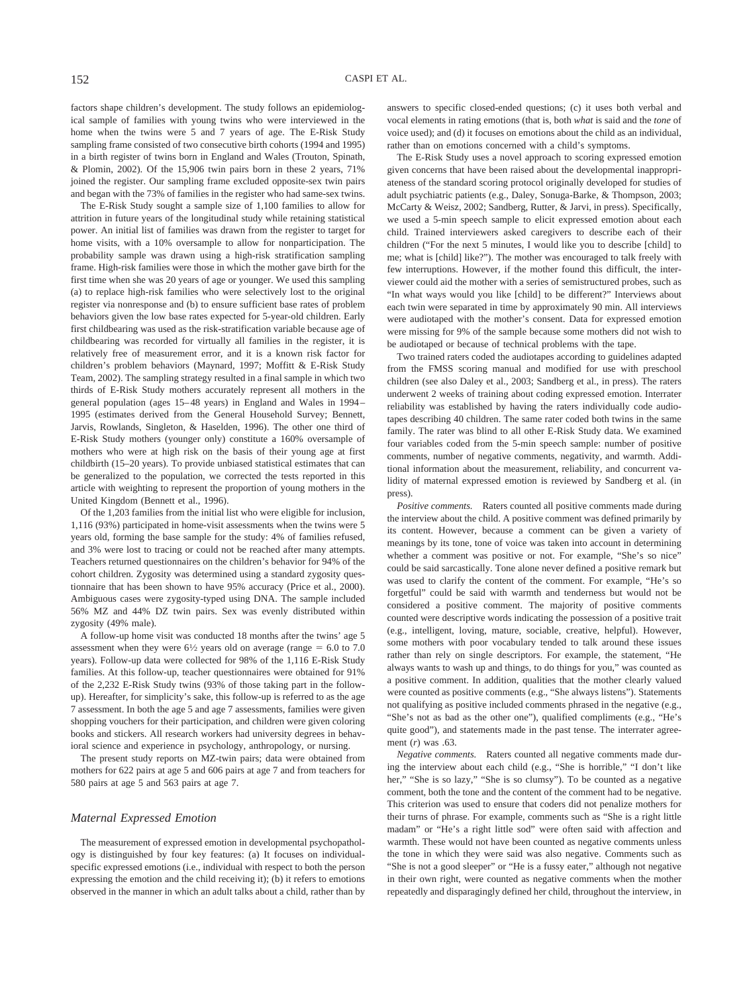factors shape children's development. The study follows an epidemiological sample of families with young twins who were interviewed in the home when the twins were 5 and 7 years of age. The E-Risk Study sampling frame consisted of two consecutive birth cohorts (1994 and 1995) in a birth register of twins born in England and Wales (Trouton, Spinath, & Plomin, 2002). Of the 15,906 twin pairs born in these 2 years, 71% joined the register. Our sampling frame excluded opposite-sex twin pairs and began with the 73% of families in the register who had same-sex twins.

The E-Risk Study sought a sample size of 1,100 families to allow for attrition in future years of the longitudinal study while retaining statistical power. An initial list of families was drawn from the register to target for home visits, with a 10% oversample to allow for nonparticipation. The probability sample was drawn using a high-risk stratification sampling frame. High-risk families were those in which the mother gave birth for the first time when she was 20 years of age or younger. We used this sampling (a) to replace high-risk families who were selectively lost to the original register via nonresponse and (b) to ensure sufficient base rates of problem behaviors given the low base rates expected for 5-year-old children. Early first childbearing was used as the risk-stratification variable because age of childbearing was recorded for virtually all families in the register, it is relatively free of measurement error, and it is a known risk factor for children's problem behaviors (Maynard, 1997; Moffitt & E-Risk Study Team, 2002). The sampling strategy resulted in a final sample in which two thirds of E-Risk Study mothers accurately represent all mothers in the general population (ages 15–48 years) in England and Wales in 1994– 1995 (estimates derived from the General Household Survey; Bennett, Jarvis, Rowlands, Singleton, & Haselden, 1996). The other one third of E-Risk Study mothers (younger only) constitute a 160% oversample of mothers who were at high risk on the basis of their young age at first childbirth (15–20 years). To provide unbiased statistical estimates that can be generalized to the population, we corrected the tests reported in this article with weighting to represent the proportion of young mothers in the United Kingdom (Bennett et al., 1996).

Of the 1,203 families from the initial list who were eligible for inclusion, 1,116 (93%) participated in home-visit assessments when the twins were 5 years old, forming the base sample for the study: 4% of families refused, and 3% were lost to tracing or could not be reached after many attempts. Teachers returned questionnaires on the children's behavior for 94% of the cohort children. Zygosity was determined using a standard zygosity questionnaire that has been shown to have 95% accuracy (Price et al., 2000). Ambiguous cases were zygosity-typed using DNA. The sample included 56% MZ and 44% DZ twin pairs. Sex was evenly distributed within zygosity (49% male).

A follow-up home visit was conducted 18 months after the twins' age 5 assessment when they were  $6\frac{1}{2}$  years old on average (range = 6.0 to 7.0 years). Follow-up data were collected for 98% of the 1,116 E-Risk Study families. At this follow-up, teacher questionnaires were obtained for 91% of the 2,232 E-Risk Study twins (93% of those taking part in the followup). Hereafter, for simplicity's sake, this follow-up is referred to as the age 7 assessment. In both the age 5 and age 7 assessments, families were given shopping vouchers for their participation, and children were given coloring books and stickers. All research workers had university degrees in behavioral science and experience in psychology, anthropology, or nursing.

The present study reports on MZ-twin pairs; data were obtained from mothers for 622 pairs at age 5 and 606 pairs at age 7 and from teachers for 580 pairs at age 5 and 563 pairs at age 7.

### *Maternal Expressed Emotion*

The measurement of expressed emotion in developmental psychopathology is distinguished by four key features: (a) It focuses on individualspecific expressed emotions (i.e., individual with respect to both the person expressing the emotion and the child receiving it); (b) it refers to emotions observed in the manner in which an adult talks about a child, rather than by answers to specific closed-ended questions; (c) it uses both verbal and vocal elements in rating emotions (that is, both *what* is said and the *tone* of voice used); and (d) it focuses on emotions about the child as an individual, rather than on emotions concerned with a child's symptoms.

The E-Risk Study uses a novel approach to scoring expressed emotion given concerns that have been raised about the developmental inappropriateness of the standard scoring protocol originally developed for studies of adult psychiatric patients (e.g., Daley, Sonuga-Barke, & Thompson, 2003; McCarty & Weisz, 2002; Sandberg, Rutter, & Jarvi, in press). Specifically, we used a 5-min speech sample to elicit expressed emotion about each child. Trained interviewers asked caregivers to describe each of their children ("For the next 5 minutes, I would like you to describe [child] to me; what is [child] like?"). The mother was encouraged to talk freely with few interruptions. However, if the mother found this difficult, the interviewer could aid the mother with a series of semistructured probes, such as "In what ways would you like [child] to be different?" Interviews about each twin were separated in time by approximately 90 min. All interviews were audiotaped with the mother's consent. Data for expressed emotion were missing for 9% of the sample because some mothers did not wish to be audiotaped or because of technical problems with the tape.

Two trained raters coded the audiotapes according to guidelines adapted from the FMSS scoring manual and modified for use with preschool children (see also Daley et al., 2003; Sandberg et al., in press). The raters underwent 2 weeks of training about coding expressed emotion. Interrater reliability was established by having the raters individually code audiotapes describing 40 children. The same rater coded both twins in the same family. The rater was blind to all other E-Risk Study data. We examined four variables coded from the 5-min speech sample: number of positive comments, number of negative comments, negativity, and warmth. Additional information about the measurement, reliability, and concurrent validity of maternal expressed emotion is reviewed by Sandberg et al. (in press).

*Positive comments.* Raters counted all positive comments made during the interview about the child. A positive comment was defined primarily by its content. However, because a comment can be given a variety of meanings by its tone, tone of voice was taken into account in determining whether a comment was positive or not. For example, "She's so nice" could be said sarcastically. Tone alone never defined a positive remark but was used to clarify the content of the comment. For example, "He's so forgetful" could be said with warmth and tenderness but would not be considered a positive comment. The majority of positive comments counted were descriptive words indicating the possession of a positive trait (e.g., intelligent, loving, mature, sociable, creative, helpful). However, some mothers with poor vocabulary tended to talk around these issues rather than rely on single descriptors. For example, the statement, "He always wants to wash up and things, to do things for you," was counted as a positive comment. In addition, qualities that the mother clearly valued were counted as positive comments (e.g., "She always listens"). Statements not qualifying as positive included comments phrased in the negative (e.g., "She's not as bad as the other one"), qualified compliments (e.g., "He's quite good"), and statements made in the past tense. The interrater agreement (*r*) was .63.

*Negative comments.* Raters counted all negative comments made during the interview about each child (e.g., "She is horrible," "I don't like her," "She is so lazy," "She is so clumsy"). To be counted as a negative comment, both the tone and the content of the comment had to be negative. This criterion was used to ensure that coders did not penalize mothers for their turns of phrase. For example, comments such as "She is a right little madam" or "He's a right little sod" were often said with affection and warmth. These would not have been counted as negative comments unless the tone in which they were said was also negative. Comments such as "She is not a good sleeper" or "He is a fussy eater," although not negative in their own right, were counted as negative comments when the mother repeatedly and disparagingly defined her child, throughout the interview, in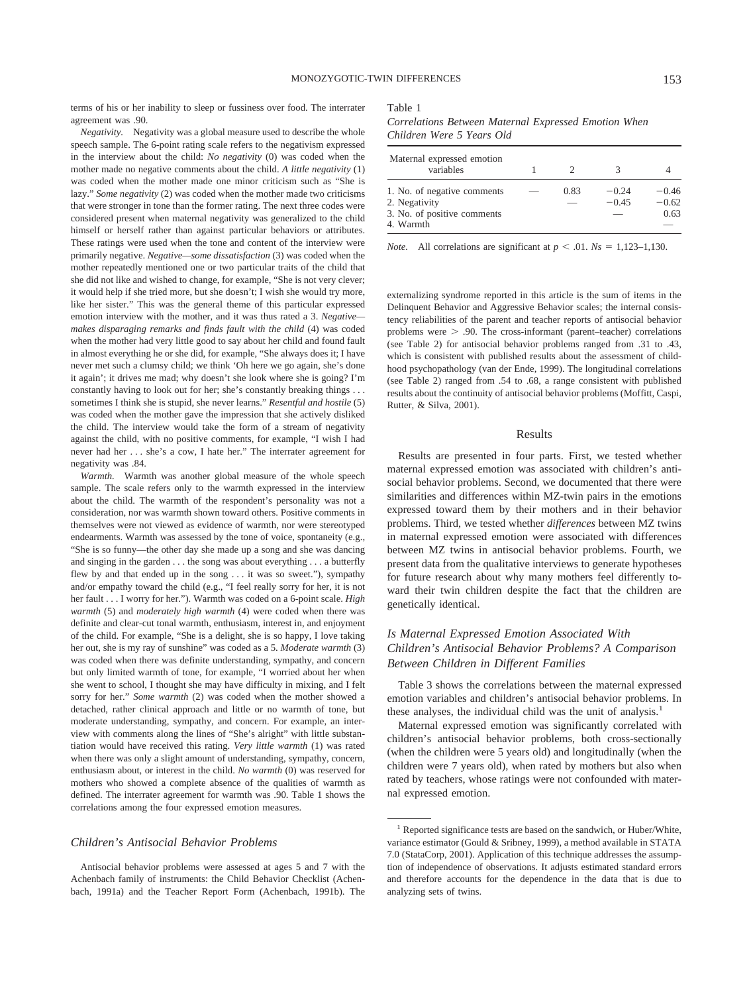terms of his or her inability to sleep or fussiness over food. The interrater agreement was .90.

*Negativity.* Negativity was a global measure used to describe the whole speech sample. The 6-point rating scale refers to the negativism expressed in the interview about the child: *No negativity* (0) was coded when the mother made no negative comments about the child. *A little negativity* (1) was coded when the mother made one minor criticism such as "She is lazy." *Some negativity* (2) was coded when the mother made two criticisms that were stronger in tone than the former rating. The next three codes were considered present when maternal negativity was generalized to the child himself or herself rather than against particular behaviors or attributes. These ratings were used when the tone and content of the interview were primarily negative. *Negative—some dissatisfaction* (3) was coded when the mother repeatedly mentioned one or two particular traits of the child that she did not like and wished to change, for example, "She is not very clever; it would help if she tried more, but she doesn't; I wish she would try more, like her sister." This was the general theme of this particular expressed emotion interview with the mother, and it was thus rated a 3. *Negative makes disparaging remarks and finds fault with the child* (4) was coded when the mother had very little good to say about her child and found fault in almost everything he or she did, for example, "She always does it; I have never met such a clumsy child; we think 'Oh here we go again, she's done it again'; it drives me mad; why doesn't she look where she is going? I'm constantly having to look out for her; she's constantly breaking things . . . sometimes I think she is stupid, she never learns." *Resentful and hostile* (5) was coded when the mother gave the impression that she actively disliked the child. The interview would take the form of a stream of negativity against the child, with no positive comments, for example, "I wish I had never had her . . . she's a cow, I hate her." The interrater agreement for negativity was .84.

*Warmth.* Warmth was another global measure of the whole speech sample. The scale refers only to the warmth expressed in the interview about the child. The warmth of the respondent's personality was not a consideration, nor was warmth shown toward others. Positive comments in themselves were not viewed as evidence of warmth, nor were stereotyped endearments. Warmth was assessed by the tone of voice, spontaneity (e.g., "She is so funny—the other day she made up a song and she was dancing and singing in the garden . . . the song was about everything . . . a butterfly flew by and that ended up in the song . . . it was so sweet."), sympathy and/or empathy toward the child (e.g., "I feel really sorry for her, it is not her fault . . . I worry for her."). Warmth was coded on a 6-point scale. *High warmth* (5) and *moderately high warmth* (4) were coded when there was definite and clear-cut tonal warmth, enthusiasm, interest in, and enjoyment of the child. For example, "She is a delight, she is so happy, I love taking her out, she is my ray of sunshine" was coded as a 5. *Moderate warmth* (3) was coded when there was definite understanding, sympathy, and concern but only limited warmth of tone, for example, "I worried about her when she went to school, I thought she may have difficulty in mixing, and I felt sorry for her." *Some warmth* (2) was coded when the mother showed a detached, rather clinical approach and little or no warmth of tone, but moderate understanding, sympathy, and concern. For example, an interview with comments along the lines of "She's alright" with little substantiation would have received this rating. *Very little warmth* (1) was rated when there was only a slight amount of understanding, sympathy, concern, enthusiasm about, or interest in the child. *No warmth* (0) was reserved for mothers who showed a complete absence of the qualities of warmth as defined. The interrater agreement for warmth was .90. Table 1 shows the correlations among the four expressed emotion measures.

### *Children's Antisocial Behavior Problems*

Antisocial behavior problems were assessed at ages 5 and 7 with the Achenbach family of instruments: the Child Behavior Checklist (Achenbach, 1991a) and the Teacher Report Form (Achenbach, 1991b). The

### Table 1

| Correlations Between Maternal Expressed Emotion When |  |  |  |
|------------------------------------------------------|--|--|--|
| Children Were 5 Years Old                            |  |  |  |

| Maternal expressed emotion<br>variables |      |         |         |
|-----------------------------------------|------|---------|---------|
| 1. No. of negative comments             | 0.83 | $-0.24$ | $-0.46$ |
| 2. Negativity                           |      | $-0.45$ | $-0.62$ |
| 3. No. of positive comments             |      |         | 0.63    |
| 4. Warmth                               |      |         |         |

*Note.* All correlations are significant at  $p < .01$ .  $Ns = 1,123-1,130$ .

externalizing syndrome reported in this article is the sum of items in the Delinquent Behavior and Aggressive Behavior scales; the internal consistency reliabilities of the parent and teacher reports of antisocial behavior problems were  $> 0.90$ . The cross-informant (parent–teacher) correlations (see Table 2) for antisocial behavior problems ranged from .31 to .43, which is consistent with published results about the assessment of childhood psychopathology (van der Ende, 1999). The longitudinal correlations (see Table 2) ranged from .54 to .68, a range consistent with published results about the continuity of antisocial behavior problems (Moffitt, Caspi, Rutter, & Silva, 2001).

#### Results

Results are presented in four parts. First, we tested whether maternal expressed emotion was associated with children's antisocial behavior problems. Second, we documented that there were similarities and differences within MZ-twin pairs in the emotions expressed toward them by their mothers and in their behavior problems. Third, we tested whether *differences* between MZ twins in maternal expressed emotion were associated with differences between MZ twins in antisocial behavior problems. Fourth, we present data from the qualitative interviews to generate hypotheses for future research about why many mothers feel differently toward their twin children despite the fact that the children are genetically identical.

### *Is Maternal Expressed Emotion Associated With Children's Antisocial Behavior Problems? A Comparison Between Children in Different Families*

Table 3 shows the correlations between the maternal expressed emotion variables and children's antisocial behavior problems. In these analyses, the individual child was the unit of analysis.<sup>1</sup>

Maternal expressed emotion was significantly correlated with children's antisocial behavior problems, both cross-sectionally (when the children were 5 years old) and longitudinally (when the children were 7 years old), when rated by mothers but also when rated by teachers, whose ratings were not confounded with maternal expressed emotion.

<sup>&</sup>lt;sup>1</sup> Reported significance tests are based on the sandwich, or Huber/White, variance estimator (Gould & Sribney, 1999), a method available in STATA 7.0 (StataCorp, 2001). Application of this technique addresses the assumption of independence of observations. It adjusts estimated standard errors and therefore accounts for the dependence in the data that is due to analyzing sets of twins.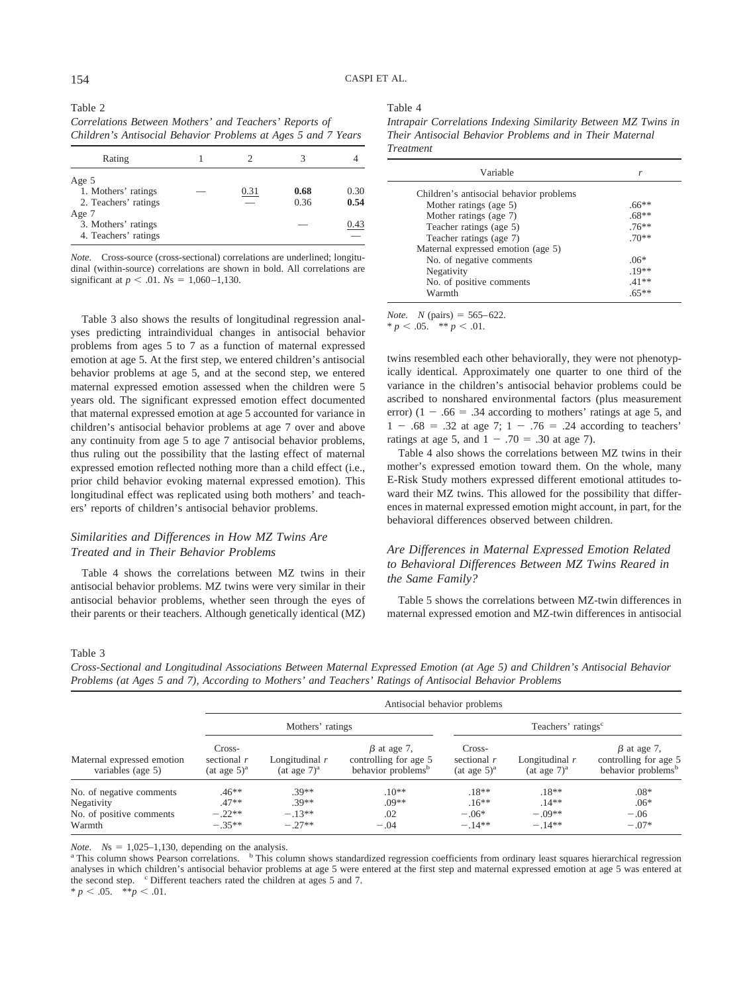Table 2 *Correlations Between Mothers' and Teachers' Reports of Children's Antisocial Behavior Problems at Ages 5 and 7 Years*

| Rating                                                                                                       |      |              |                      |
|--------------------------------------------------------------------------------------------------------------|------|--------------|----------------------|
| Age 5<br>1. Mothers' ratings<br>2. Teachers' ratings<br>Age 7<br>3. Mothers' ratings<br>4. Teachers' ratings | 0.31 | 0.68<br>0.36 | 0.30<br>0.54<br>0.43 |

*Note.* Cross-source (cross-sectional) correlations are underlined; longitudinal (within-source) correlations are shown in bold. All correlations are significant at  $p < .01$ .  $N_s = 1,060 - 1,130$ .

Table 3 also shows the results of longitudinal regression analyses predicting intraindividual changes in antisocial behavior problems from ages 5 to 7 as a function of maternal expressed emotion at age 5. At the first step, we entered children's antisocial behavior problems at age 5, and at the second step, we entered maternal expressed emotion assessed when the children were 5 years old. The significant expressed emotion effect documented that maternal expressed emotion at age 5 accounted for variance in children's antisocial behavior problems at age 7 over and above any continuity from age 5 to age 7 antisocial behavior problems, thus ruling out the possibility that the lasting effect of maternal expressed emotion reflected nothing more than a child effect (i.e., prior child behavior evoking maternal expressed emotion). This longitudinal effect was replicated using both mothers' and teachers' reports of children's antisocial behavior problems.

### *Similarities and Differences in How MZ Twins Are Treated and in Their Behavior Problems*

Table 4 shows the correlations between MZ twins in their antisocial behavior problems. MZ twins were very similar in their antisocial behavior problems, whether seen through the eyes of their parents or their teachers. Although genetically identical (MZ)

#### Table 4

| Intrapair Correlations Indexing Similarity Between MZ Twins in |
|----------------------------------------------------------------|
| Their Antisocial Behavior Problems and in Their Maternal       |
| Treatment                                                      |

| Variable                                | r        |
|-----------------------------------------|----------|
| Children's antisocial behavior problems |          |
| Mother ratings (age 5)                  | $.66**$  |
| Mother ratings (age 7)                  | $.68**$  |
| Teacher ratings (age 5)                 | $.76***$ |
| Teacher ratings (age 7)                 | $.70**$  |
| Maternal expressed emotion (age 5)      |          |
| No. of negative comments                | $.06*$   |
| Negativity                              | $19**$   |
| No. of positive comments                | $41**$   |
| Warmth                                  | $.65***$ |

*Note. N* (pairs) =  $565 - 622$ .

 $* p < .05.$  \*\*  $p < .01.$ 

twins resembled each other behaviorally, they were not phenotypically identical. Approximately one quarter to one third of the variance in the children's antisocial behavior problems could be ascribed to nonshared environmental factors (plus measurement error)  $(1 - .66 = .34$  according to mothers' ratings at age 5, and  $1 - .68 = .32$  at age 7;  $1 - .76 = .24$  according to teachers' ratings at age 5, and  $1 - .70 = .30$  at age 7).

Table 4 also shows the correlations between MZ twins in their mother's expressed emotion toward them. On the whole, many E-Risk Study mothers expressed different emotional attitudes toward their MZ twins. This allowed for the possibility that differences in maternal expressed emotion might account, in part, for the behavioral differences observed between children.

### *Are Differences in Maternal Expressed Emotion Related to Behavioral Differences Between MZ Twins Reared in the Same Family?*

Table 5 shows the correlations between MZ-twin differences in maternal expressed emotion and MZ-twin differences in antisocial

### Table 3

*Cross-Sectional and Longitudinal Associations Between Maternal Expressed Emotion (at Age 5) and Children's Antisocial Behavior Problems (at Ages 5 and 7), According to Mothers' and Teachers' Ratings of Antisocial Behavior Problems*

|                                                                              | Antisocial behavior problems                         |                                            |                                                                              |                                                    |                                               |                                                                              |  |
|------------------------------------------------------------------------------|------------------------------------------------------|--------------------------------------------|------------------------------------------------------------------------------|----------------------------------------------------|-----------------------------------------------|------------------------------------------------------------------------------|--|
|                                                                              |                                                      | Mothers' ratings                           |                                                                              |                                                    | Teachers' ratings <sup>c</sup>                |                                                                              |  |
| Maternal expressed emotion<br>variables (age 5)                              | Cross-<br>sectional $r$<br>$(at \text{ age } 5)^{a}$ | Longitudinal r<br>$(at \t{age} 7)^a$       | $\beta$ at age 7,<br>controlling for age 5<br>behavior problems <sup>b</sup> | Cross-<br>sectional $r$<br>$(at \text{ age } 5)^a$ | Longitudinal $r$<br>$(at \text{ age } 7)^{a}$ | $\beta$ at age 7,<br>controlling for age 5<br>behavior problems <sup>b</sup> |  |
| No. of negative comments<br>Negativity<br>No. of positive comments<br>Warmth | $.46***$<br>$.47**$<br>$-.22**$<br>$-.35**$          | $.39**$<br>$.39**$<br>$-.13**$<br>$-.27**$ | $.10**$<br>$.09**$<br>.02<br>$-.04$                                          | $.18**$<br>$.16***$<br>$-.06*$<br>$-14**$          | $.18**$<br>$.14***$<br>$-.09**$<br>$-.14**$   | $.08*$<br>$.06*$<br>$-.06$<br>$-.07*$                                        |  |

*Note. Ns* = 1,025–1,130, depending on the analysis.<br><sup>a</sup> This column shows Pearson correlations. <sup>b</sup> This column shows standardized regression coefficients from ordinary least squares hierarchical regression analyses in which children's antisocial behavior problems at age 5 were entered at the first step and maternal expressed emotion at age 5 was entered at the second step. <sup>c</sup> Different teachers rated the children at ages 5 and 7.

 $* p < .05.$  \*\* $p < .01.$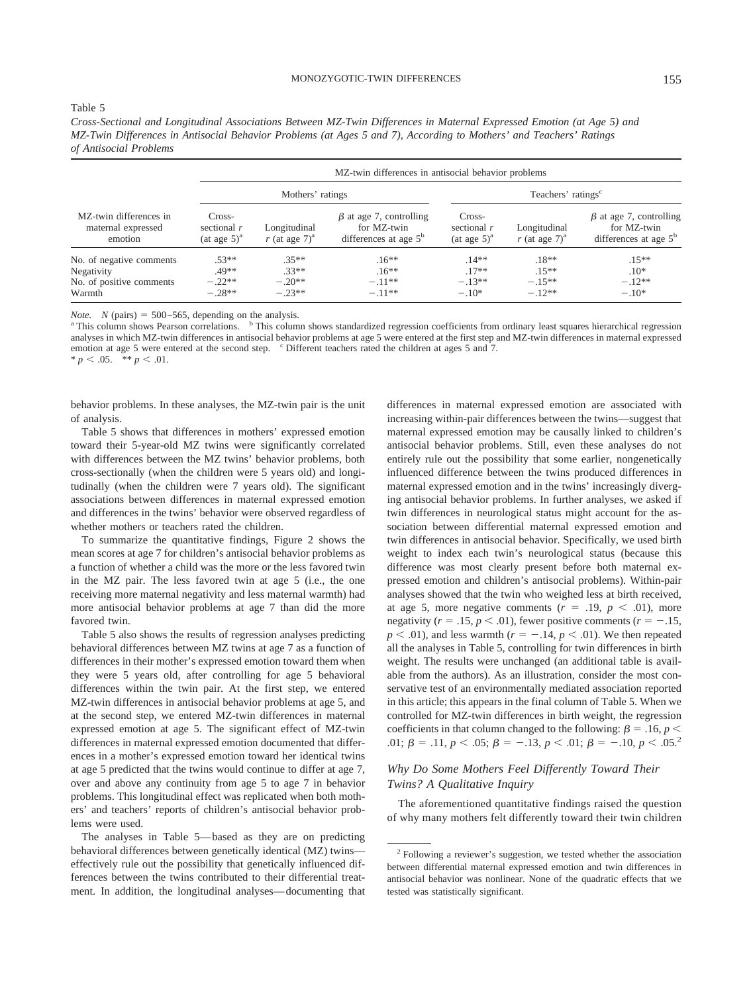#### Table 5

*Cross-Sectional and Longitudinal Associations Between MZ-Twin Differences in Maternal Expressed Emotion (at Age 5) and MZ-Twin Differences in Antisocial Behavior Problems (at Ages 5 and 7), According to Mothers' and Teachers' Ratings of Antisocial Problems*

|                                                         | MZ-twin differences in antisocial behavior problems |                                  |                                                                                |                                               |                                  |                                                                         |  |
|---------------------------------------------------------|-----------------------------------------------------|----------------------------------|--------------------------------------------------------------------------------|-----------------------------------------------|----------------------------------|-------------------------------------------------------------------------|--|
|                                                         |                                                     | Mothers' ratings                 |                                                                                |                                               | Teachers' ratings <sup>c</sup>   |                                                                         |  |
| MZ-twin differences in<br>maternal expressed<br>emotion | Cross-<br>sectional $r$<br>$(at \text{ age } 5)^a$  | Longitudinal<br>r (at age $7)^a$ | $\beta$ at age 7, controlling<br>for MZ-twin<br>differences at age $5^{\rm b}$ | Cross-<br>sectional $r$<br>$(at \t{age} 5)^a$ | Longitudinal<br>r (at age $7)^a$ | $\beta$ at age 7, controlling<br>for MZ-twin<br>differences at age $5b$ |  |
| No. of negative comments                                | $.53**$                                             | $35**$                           | $.16***$                                                                       | $14**$                                        | $.18**$                          | $.15***$                                                                |  |
| Negativity                                              | $.49**$                                             | $.33**$                          | $.16***$                                                                       | $.17**$                                       | $.15***$                         | $.10*$                                                                  |  |
| No. of positive comments                                | $-22**$                                             | $-20**$                          | $-11**$                                                                        | $-13**$                                       | $-15**$                          | $-.12**$                                                                |  |
| Warmth                                                  | $-28**$                                             | $-23**$                          | $-.11**$                                                                       | $-.10*$                                       | $-12**$                          | $-.10*$                                                                 |  |

*Note. N* (pairs) = 500–565, depending on the analysis.<br><sup>a</sup> This column shows Pearson correlations. <sup>b</sup> This column shows standardized regression coefficients from ordinary least squares hierarchical regression analyses in which MZ-twin differences in antisocial behavior problems at age 5 were entered at the first step and MZ-twin differences in maternal expressed emotion at age 5 were entered at the second step. <sup>c</sup> Different teachers rated the children at ages 5 and 7.  $* p < .05.$  \*\*  $p < .01.$ 

behavior problems. In these analyses, the MZ-twin pair is the unit of analysis.

Table 5 shows that differences in mothers' expressed emotion toward their 5-year-old MZ twins were significantly correlated with differences between the MZ twins' behavior problems, both cross-sectionally (when the children were 5 years old) and longitudinally (when the children were 7 years old). The significant associations between differences in maternal expressed emotion and differences in the twins' behavior were observed regardless of whether mothers or teachers rated the children.

To summarize the quantitative findings, Figure 2 shows the mean scores at age 7 for children's antisocial behavior problems as a function of whether a child was the more or the less favored twin in the MZ pair. The less favored twin at age 5 (i.e., the one receiving more maternal negativity and less maternal warmth) had more antisocial behavior problems at age 7 than did the more favored twin.

Table 5 also shows the results of regression analyses predicting behavioral differences between MZ twins at age 7 as a function of differences in their mother's expressed emotion toward them when they were 5 years old, after controlling for age 5 behavioral differences within the twin pair. At the first step, we entered MZ-twin differences in antisocial behavior problems at age 5, and at the second step, we entered MZ-twin differences in maternal expressed emotion at age 5. The significant effect of MZ-twin differences in maternal expressed emotion documented that differences in a mother's expressed emotion toward her identical twins at age 5 predicted that the twins would continue to differ at age 7, over and above any continuity from age 5 to age 7 in behavior problems. This longitudinal effect was replicated when both mothers' and teachers' reports of children's antisocial behavior problems were used.

The analyses in Table 5—based as they are on predicting behavioral differences between genetically identical (MZ) twins effectively rule out the possibility that genetically influenced differences between the twins contributed to their differential treatment. In addition, the longitudinal analyses—documenting that differences in maternal expressed emotion are associated with increasing within-pair differences between the twins—suggest that maternal expressed emotion may be causally linked to children's antisocial behavior problems. Still, even these analyses do not entirely rule out the possibility that some earlier, nongenetically influenced difference between the twins produced differences in maternal expressed emotion and in the twins' increasingly diverging antisocial behavior problems. In further analyses, we asked if twin differences in neurological status might account for the association between differential maternal expressed emotion and twin differences in antisocial behavior. Specifically, we used birth weight to index each twin's neurological status (because this difference was most clearly present before both maternal expressed emotion and children's antisocial problems). Within-pair analyses showed that the twin who weighed less at birth received, at age 5, more negative comments  $(r = .19, p < .01)$ , more negativity ( $r = .15$ ,  $p < .01$ ), fewer positive comments ( $r = -.15$ ,  $p < .01$ ), and less warmth ( $r = -.14$ ,  $p < .01$ ). We then repeated all the analyses in Table 5, controlling for twin differences in birth weight. The results were unchanged (an additional table is available from the authors). As an illustration, consider the most conservative test of an environmentally mediated association reported in this article; this appears in the final column of Table 5. When we controlled for MZ-twin differences in birth weight, the regression coefficients in that column changed to the following:  $\beta = .16$ ,  $p <$ .01;  $\beta = .11$ ,  $p < .05$ ;  $\beta = -.13$ ,  $p < .01$ ;  $\beta = -.10$ ,  $p < .05$ <sup>2</sup>

### *Why Do Some Mothers Feel Differently Toward Their Twins? A Qualitative Inquiry*

The aforementioned quantitative findings raised the question of why many mothers felt differently toward their twin children

<sup>2</sup> Following a reviewer's suggestion, we tested whether the association between differential maternal expressed emotion and twin differences in antisocial behavior was nonlinear. None of the quadratic effects that we tested was statistically significant.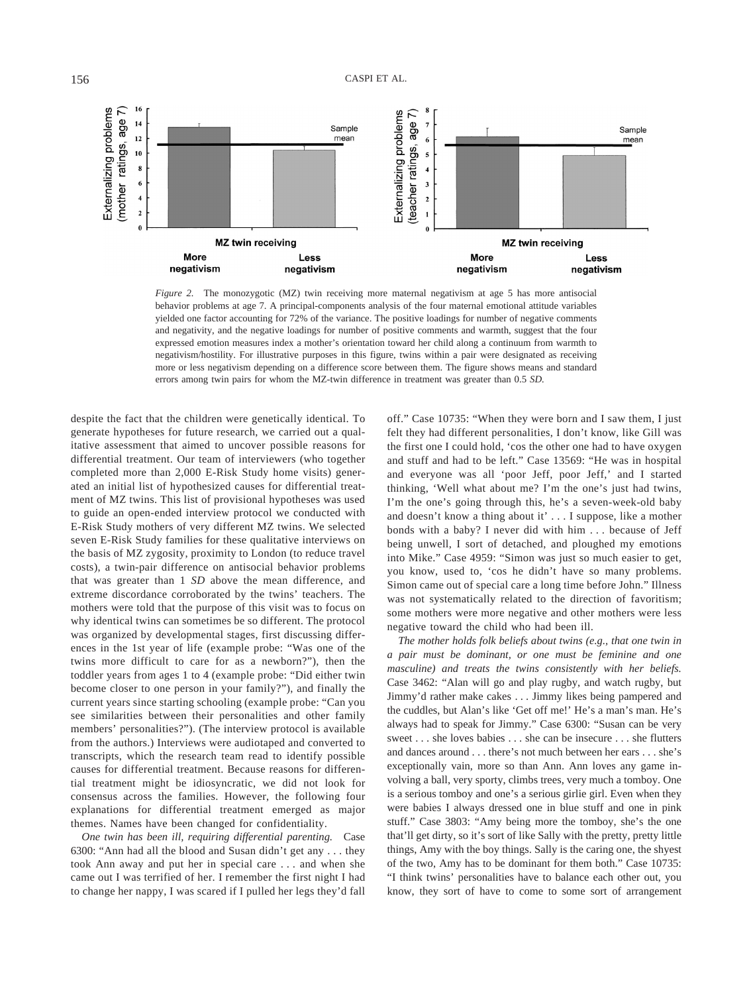

*Figure 2.* The monozygotic (MZ) twin receiving more maternal negativism at age 5 has more antisocial behavior problems at age 7. A principal-components analysis of the four maternal emotional attitude variables yielded one factor accounting for 72% of the variance. The positive loadings for number of negative comments and negativity, and the negative loadings for number of positive comments and warmth, suggest that the four expressed emotion measures index a mother's orientation toward her child along a continuum from warmth to negativism/hostility. For illustrative purposes in this figure, twins within a pair were designated as receiving more or less negativism depending on a difference score between them. The figure shows means and standard errors among twin pairs for whom the MZ-twin difference in treatment was greater than 0.5 *SD.*

despite the fact that the children were genetically identical. To generate hypotheses for future research, we carried out a qualitative assessment that aimed to uncover possible reasons for differential treatment. Our team of interviewers (who together completed more than 2,000 E-Risk Study home visits) generated an initial list of hypothesized causes for differential treatment of MZ twins. This list of provisional hypotheses was used to guide an open-ended interview protocol we conducted with E-Risk Study mothers of very different MZ twins. We selected seven E-Risk Study families for these qualitative interviews on the basis of MZ zygosity, proximity to London (to reduce travel costs), a twin-pair difference on antisocial behavior problems that was greater than 1 *SD* above the mean difference, and extreme discordance corroborated by the twins' teachers. The mothers were told that the purpose of this visit was to focus on why identical twins can sometimes be so different. The protocol was organized by developmental stages, first discussing differences in the 1st year of life (example probe: "Was one of the twins more difficult to care for as a newborn?"), then the toddler years from ages 1 to 4 (example probe: "Did either twin become closer to one person in your family?"), and finally the current years since starting schooling (example probe: "Can you see similarities between their personalities and other family members' personalities?"). (The interview protocol is available from the authors.) Interviews were audiotaped and converted to transcripts, which the research team read to identify possible causes for differential treatment. Because reasons for differential treatment might be idiosyncratic, we did not look for consensus across the families. However, the following four explanations for differential treatment emerged as major themes. Names have been changed for confidentiality.

*One twin has been ill, requiring differential parenting.* Case 6300: "Ann had all the blood and Susan didn't get any . . . they took Ann away and put her in special care . . . and when she came out I was terrified of her. I remember the first night I had to change her nappy, I was scared if I pulled her legs they'd fall off." Case 10735: "When they were born and I saw them, I just felt they had different personalities, I don't know, like Gill was the first one I could hold, 'cos the other one had to have oxygen and stuff and had to be left." Case 13569: "He was in hospital and everyone was all 'poor Jeff, poor Jeff,' and I started thinking, 'Well what about me? I'm the one's just had twins, I'm the one's going through this, he's a seven-week-old baby and doesn't know a thing about it' . . . I suppose, like a mother bonds with a baby? I never did with him . . . because of Jeff being unwell, I sort of detached, and ploughed my emotions into Mike." Case 4959: "Simon was just so much easier to get, you know, used to, 'cos he didn't have so many problems. Simon came out of special care a long time before John." Illness was not systematically related to the direction of favoritism; some mothers were more negative and other mothers were less negative toward the child who had been ill.

*The mother holds folk beliefs about twins (e.g., that one twin in a pair must be dominant, or one must be feminine and one masculine) and treats the twins consistently with her beliefs.* Case 3462: "Alan will go and play rugby, and watch rugby, but Jimmy'd rather make cakes . . . Jimmy likes being pampered and the cuddles, but Alan's like 'Get off me!' He's a man's man. He's always had to speak for Jimmy." Case 6300: "Susan can be very sweet . . . she loves babies . . . she can be insecure . . . she flutters and dances around . . . there's not much between her ears . . . she's exceptionally vain, more so than Ann. Ann loves any game involving a ball, very sporty, climbs trees, very much a tomboy. One is a serious tomboy and one's a serious girlie girl. Even when they were babies I always dressed one in blue stuff and one in pink stuff." Case 3803: "Amy being more the tomboy, she's the one that'll get dirty, so it's sort of like Sally with the pretty, pretty little things, Amy with the boy things. Sally is the caring one, the shyest of the two, Amy has to be dominant for them both." Case 10735: "I think twins' personalities have to balance each other out, you know, they sort of have to come to some sort of arrangement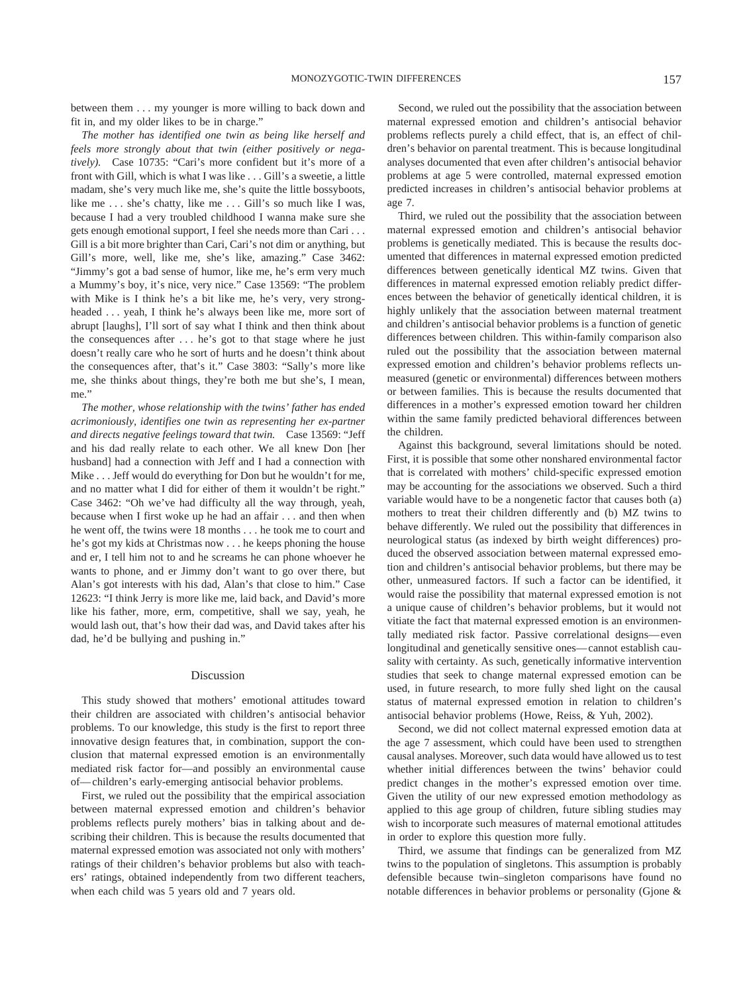between them . . . my younger is more willing to back down and fit in, and my older likes to be in charge."

*The mother has identified one twin as being like herself and feels more strongly about that twin (either positively or negatively).* Case 10735: "Cari's more confident but it's more of a front with Gill, which is what I was like . . . Gill's a sweetie, a little madam, she's very much like me, she's quite the little bossyboots, like me . . . she's chatty, like me . . . Gill's so much like I was, because I had a very troubled childhood I wanna make sure she gets enough emotional support, I feel she needs more than Cari . . . Gill is a bit more brighter than Cari, Cari's not dim or anything, but Gill's more, well, like me, she's like, amazing." Case 3462: "Jimmy's got a bad sense of humor, like me, he's erm very much a Mummy's boy, it's nice, very nice." Case 13569: "The problem with Mike is I think he's a bit like me, he's very, very strongheaded . . . yeah, I think he's always been like me, more sort of abrupt [laughs], I'll sort of say what I think and then think about the consequences after . . . he's got to that stage where he just doesn't really care who he sort of hurts and he doesn't think about the consequences after, that's it." Case 3803: "Sally's more like me, she thinks about things, they're both me but she's, I mean, me."

*The mother, whose relationship with the twins' father has ended acrimoniously, identifies one twin as representing her ex-partner and directs negative feelings toward that twin.* Case 13569: "Jeff and his dad really relate to each other. We all knew Don [her husband] had a connection with Jeff and I had a connection with Mike . . . Jeff would do everything for Don but he wouldn't for me, and no matter what I did for either of them it wouldn't be right." Case 3462: "Oh we've had difficulty all the way through, yeah, because when I first woke up he had an affair . . . and then when he went off, the twins were 18 months . . . he took me to court and he's got my kids at Christmas now . . . he keeps phoning the house and er, I tell him not to and he screams he can phone whoever he wants to phone, and er Jimmy don't want to go over there, but Alan's got interests with his dad, Alan's that close to him." Case 12623: "I think Jerry is more like me, laid back, and David's more like his father, more, erm, competitive, shall we say, yeah, he would lash out, that's how their dad was, and David takes after his dad, he'd be bullying and pushing in."

### Discussion

This study showed that mothers' emotional attitudes toward their children are associated with children's antisocial behavior problems. To our knowledge, this study is the first to report three innovative design features that, in combination, support the conclusion that maternal expressed emotion is an environmentally mediated risk factor for—and possibly an environmental cause of—children's early-emerging antisocial behavior problems.

First, we ruled out the possibility that the empirical association between maternal expressed emotion and children's behavior problems reflects purely mothers' bias in talking about and describing their children. This is because the results documented that maternal expressed emotion was associated not only with mothers' ratings of their children's behavior problems but also with teachers' ratings, obtained independently from two different teachers, when each child was 5 years old and 7 years old.

Second, we ruled out the possibility that the association between maternal expressed emotion and children's antisocial behavior problems reflects purely a child effect, that is, an effect of children's behavior on parental treatment. This is because longitudinal analyses documented that even after children's antisocial behavior problems at age 5 were controlled, maternal expressed emotion predicted increases in children's antisocial behavior problems at age 7.

Third, we ruled out the possibility that the association between maternal expressed emotion and children's antisocial behavior problems is genetically mediated. This is because the results documented that differences in maternal expressed emotion predicted differences between genetically identical MZ twins. Given that differences in maternal expressed emotion reliably predict differences between the behavior of genetically identical children, it is highly unlikely that the association between maternal treatment and children's antisocial behavior problems is a function of genetic differences between children. This within-family comparison also ruled out the possibility that the association between maternal expressed emotion and children's behavior problems reflects unmeasured (genetic or environmental) differences between mothers or between families. This is because the results documented that differences in a mother's expressed emotion toward her children within the same family predicted behavioral differences between the children.

Against this background, several limitations should be noted. First, it is possible that some other nonshared environmental factor that is correlated with mothers' child-specific expressed emotion may be accounting for the associations we observed. Such a third variable would have to be a nongenetic factor that causes both (a) mothers to treat their children differently and (b) MZ twins to behave differently. We ruled out the possibility that differences in neurological status (as indexed by birth weight differences) produced the observed association between maternal expressed emotion and children's antisocial behavior problems, but there may be other, unmeasured factors. If such a factor can be identified, it would raise the possibility that maternal expressed emotion is not a unique cause of children's behavior problems, but it would not vitiate the fact that maternal expressed emotion is an environmentally mediated risk factor. Passive correlational designs—even longitudinal and genetically sensitive ones—cannot establish causality with certainty. As such, genetically informative intervention studies that seek to change maternal expressed emotion can be used, in future research, to more fully shed light on the causal status of maternal expressed emotion in relation to children's antisocial behavior problems (Howe, Reiss, & Yuh, 2002).

Second, we did not collect maternal expressed emotion data at the age 7 assessment, which could have been used to strengthen causal analyses. Moreover, such data would have allowed us to test whether initial differences between the twins' behavior could predict changes in the mother's expressed emotion over time. Given the utility of our new expressed emotion methodology as applied to this age group of children, future sibling studies may wish to incorporate such measures of maternal emotional attitudes in order to explore this question more fully.

Third, we assume that findings can be generalized from MZ twins to the population of singletons. This assumption is probably defensible because twin–singleton comparisons have found no notable differences in behavior problems or personality (Gjone &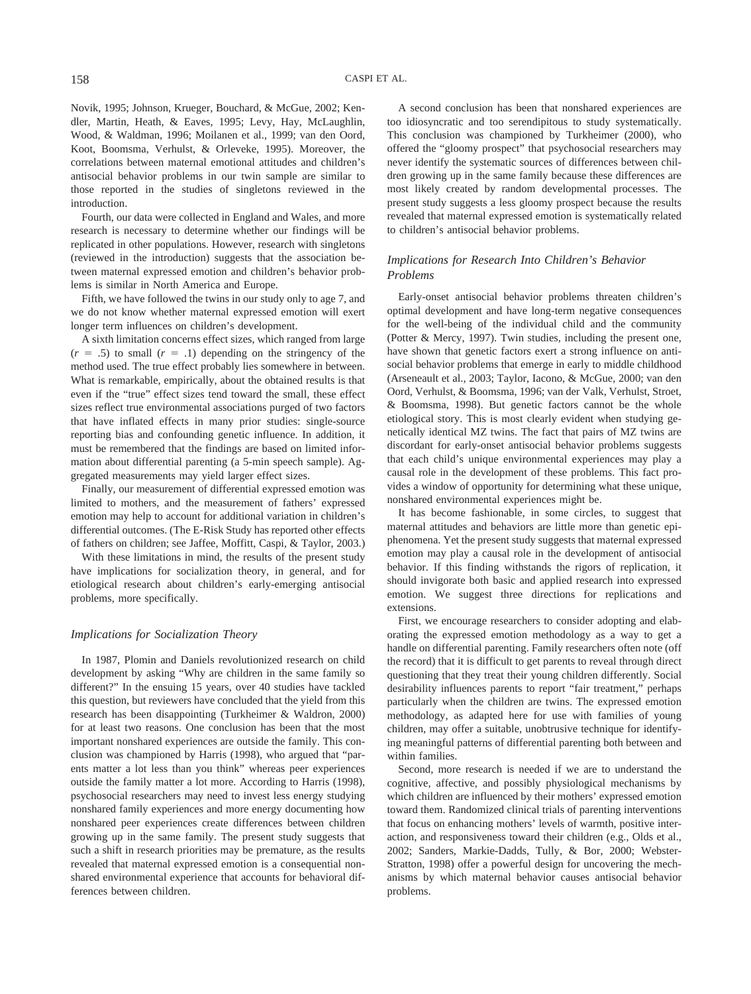Novik, 1995; Johnson, Krueger, Bouchard, & McGue, 2002; Kendler, Martin, Heath, & Eaves, 1995; Levy, Hay, McLaughlin, Wood, & Waldman, 1996; Moilanen et al., 1999; van den Oord, Koot, Boomsma, Verhulst, & Orleveke, 1995). Moreover, the correlations between maternal emotional attitudes and children's antisocial behavior problems in our twin sample are similar to those reported in the studies of singletons reviewed in the introduction.

Fourth, our data were collected in England and Wales, and more research is necessary to determine whether our findings will be replicated in other populations. However, research with singletons (reviewed in the introduction) suggests that the association between maternal expressed emotion and children's behavior problems is similar in North America and Europe.

Fifth, we have followed the twins in our study only to age 7, and we do not know whether maternal expressed emotion will exert longer term influences on children's development.

A sixth limitation concerns effect sizes, which ranged from large  $(r = .5)$  to small  $(r = .1)$  depending on the stringency of the method used. The true effect probably lies somewhere in between. What is remarkable, empirically, about the obtained results is that even if the "true" effect sizes tend toward the small, these effect sizes reflect true environmental associations purged of two factors that have inflated effects in many prior studies: single-source reporting bias and confounding genetic influence. In addition, it must be remembered that the findings are based on limited information about differential parenting (a 5-min speech sample). Aggregated measurements may yield larger effect sizes.

Finally, our measurement of differential expressed emotion was limited to mothers, and the measurement of fathers' expressed emotion may help to account for additional variation in children's differential outcomes. (The E-Risk Study has reported other effects of fathers on children; see Jaffee, Moffitt, Caspi, & Taylor, 2003.)

With these limitations in mind, the results of the present study have implications for socialization theory, in general, and for etiological research about children's early-emerging antisocial problems, more specifically.

#### *Implications for Socialization Theory*

In 1987, Plomin and Daniels revolutionized research on child development by asking "Why are children in the same family so different?" In the ensuing 15 years, over 40 studies have tackled this question, but reviewers have concluded that the yield from this research has been disappointing (Turkheimer & Waldron, 2000) for at least two reasons. One conclusion has been that the most important nonshared experiences are outside the family. This conclusion was championed by Harris (1998), who argued that "parents matter a lot less than you think" whereas peer experiences outside the family matter a lot more. According to Harris (1998), psychosocial researchers may need to invest less energy studying nonshared family experiences and more energy documenting how nonshared peer experiences create differences between children growing up in the same family. The present study suggests that such a shift in research priorities may be premature, as the results revealed that maternal expressed emotion is a consequential nonshared environmental experience that accounts for behavioral differences between children.

A second conclusion has been that nonshared experiences are too idiosyncratic and too serendipitous to study systematically. This conclusion was championed by Turkheimer (2000), who offered the "gloomy prospect" that psychosocial researchers may never identify the systematic sources of differences between children growing up in the same family because these differences are most likely created by random developmental processes. The present study suggests a less gloomy prospect because the results revealed that maternal expressed emotion is systematically related to children's antisocial behavior problems.

### *Implications for Research Into Children's Behavior Problems*

Early-onset antisocial behavior problems threaten children's optimal development and have long-term negative consequences for the well-being of the individual child and the community (Potter & Mercy, 1997). Twin studies, including the present one, have shown that genetic factors exert a strong influence on antisocial behavior problems that emerge in early to middle childhood (Arseneault et al., 2003; Taylor, Iacono, & McGue, 2000; van den Oord, Verhulst, & Boomsma, 1996; van der Valk, Verhulst, Stroet, & Boomsma, 1998). But genetic factors cannot be the whole etiological story. This is most clearly evident when studying genetically identical MZ twins. The fact that pairs of MZ twins are discordant for early-onset antisocial behavior problems suggests that each child's unique environmental experiences may play a causal role in the development of these problems. This fact provides a window of opportunity for determining what these unique, nonshared environmental experiences might be.

It has become fashionable, in some circles, to suggest that maternal attitudes and behaviors are little more than genetic epiphenomena. Yet the present study suggests that maternal expressed emotion may play a causal role in the development of antisocial behavior. If this finding withstands the rigors of replication, it should invigorate both basic and applied research into expressed emotion. We suggest three directions for replications and extensions.

First, we encourage researchers to consider adopting and elaborating the expressed emotion methodology as a way to get a handle on differential parenting. Family researchers often note (off the record) that it is difficult to get parents to reveal through direct questioning that they treat their young children differently. Social desirability influences parents to report "fair treatment," perhaps particularly when the children are twins. The expressed emotion methodology, as adapted here for use with families of young children, may offer a suitable, unobtrusive technique for identifying meaningful patterns of differential parenting both between and within families.

Second, more research is needed if we are to understand the cognitive, affective, and possibly physiological mechanisms by which children are influenced by their mothers' expressed emotion toward them. Randomized clinical trials of parenting interventions that focus on enhancing mothers' levels of warmth, positive interaction, and responsiveness toward their children (e.g., Olds et al., 2002; Sanders, Markie-Dadds, Tully, & Bor, 2000; Webster-Stratton, 1998) offer a powerful design for uncovering the mechanisms by which maternal behavior causes antisocial behavior problems.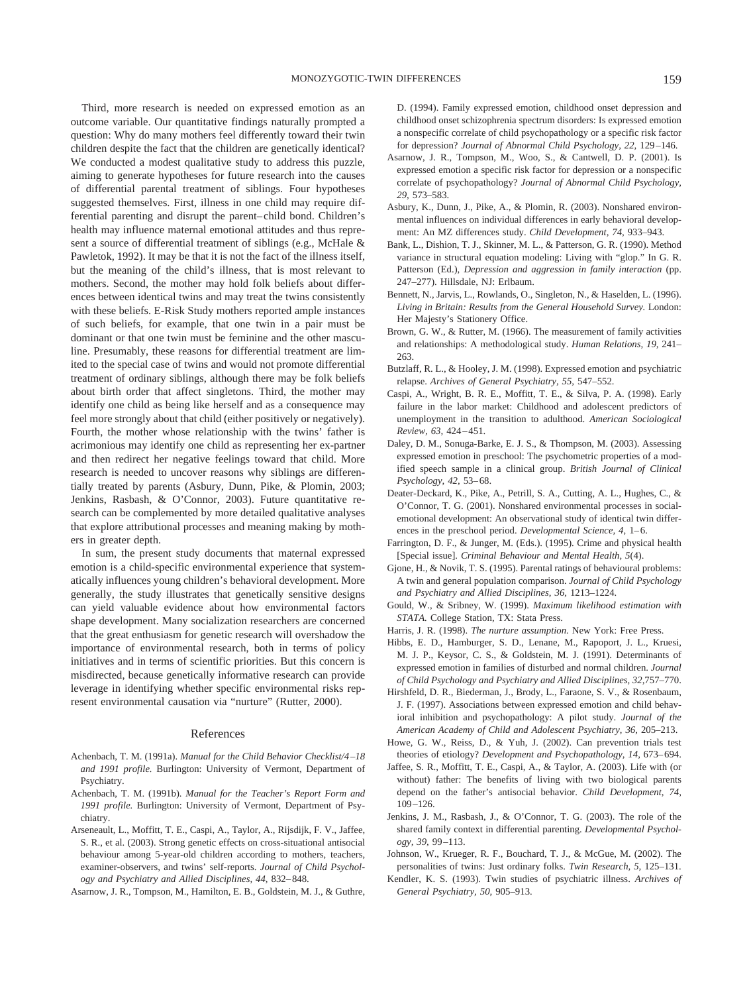Third, more research is needed on expressed emotion as an outcome variable. Our quantitative findings naturally prompted a question: Why do many mothers feel differently toward their twin children despite the fact that the children are genetically identical? We conducted a modest qualitative study to address this puzzle, aiming to generate hypotheses for future research into the causes of differential parental treatment of siblings. Four hypotheses suggested themselves. First, illness in one child may require differential parenting and disrupt the parent–child bond. Children's health may influence maternal emotional attitudes and thus represent a source of differential treatment of siblings (e.g., McHale & Pawletok, 1992). It may be that it is not the fact of the illness itself, but the meaning of the child's illness, that is most relevant to mothers. Second, the mother may hold folk beliefs about differences between identical twins and may treat the twins consistently with these beliefs. E-Risk Study mothers reported ample instances of such beliefs, for example, that one twin in a pair must be dominant or that one twin must be feminine and the other masculine. Presumably, these reasons for differential treatment are limited to the special case of twins and would not promote differential treatment of ordinary siblings, although there may be folk beliefs about birth order that affect singletons. Third, the mother may identify one child as being like herself and as a consequence may feel more strongly about that child (either positively or negatively). Fourth, the mother whose relationship with the twins' father is acrimonious may identify one child as representing her ex-partner and then redirect her negative feelings toward that child. More research is needed to uncover reasons why siblings are differentially treated by parents (Asbury, Dunn, Pike, & Plomin, 2003; Jenkins, Rasbash, & O'Connor, 2003). Future quantitative research can be complemented by more detailed qualitative analyses that explore attributional processes and meaning making by mothers in greater depth.

In sum, the present study documents that maternal expressed emotion is a child-specific environmental experience that systematically influences young children's behavioral development. More generally, the study illustrates that genetically sensitive designs can yield valuable evidence about how environmental factors shape development. Many socialization researchers are concerned that the great enthusiasm for genetic research will overshadow the importance of environmental research, both in terms of policy initiatives and in terms of scientific priorities. But this concern is misdirected, because genetically informative research can provide leverage in identifying whether specific environmental risks represent environmental causation via "nurture" (Rutter, 2000).

### References

- Achenbach, T. M. (1991a). *Manual for the Child Behavior Checklist/4–18 and 1991 profile.* Burlington: University of Vermont, Department of Psychiatry.
- Achenbach, T. M. (1991b). *Manual for the Teacher's Report Form and 1991 profile.* Burlington: University of Vermont, Department of Psychiatry.
- Arseneault, L., Moffitt, T. E., Caspi, A., Taylor, A., Rijsdijk, F. V., Jaffee, S. R., et al. (2003). Strong genetic effects on cross-situational antisocial behaviour among 5-year-old children according to mothers, teachers, examiner-observers, and twins' self-reports. *Journal of Child Psychology and Psychiatry and Allied Disciplines, 44,* 832–848.
- Asarnow, J. R., Tompson, M., Hamilton, E. B., Goldstein, M. J., & Guthre,

D. (1994). Family expressed emotion, childhood onset depression and childhood onset schizophrenia spectrum disorders: Is expressed emotion a nonspecific correlate of child psychopathology or a specific risk factor for depression? *Journal of Abnormal Child Psychology, 22,* 129–146.

- Asarnow, J. R., Tompson, M., Woo, S., & Cantwell, D. P. (2001). Is expressed emotion a specific risk factor for depression or a nonspecific correlate of psychopathology? *Journal of Abnormal Child Psychology, 29,* 573–583.
- Asbury, K., Dunn, J., Pike, A., & Plomin, R. (2003). Nonshared environmental influences on individual differences in early behavioral development: An MZ differences study. *Child Development, 74,* 933–943.
- Bank, L., Dishion, T. J., Skinner, M. L., & Patterson, G. R. (1990). Method variance in structural equation modeling: Living with "glop." In G. R. Patterson (Ed.), *Depression and aggression in family interaction* (pp. 247–277). Hillsdale, NJ: Erlbaum.
- Bennett, N., Jarvis, L., Rowlands, O., Singleton, N., & Haselden, L. (1996). *Living in Britain: Results from the General Household Survey.* London: Her Majesty's Stationery Office.
- Brown, G. W., & Rutter, M. (1966). The measurement of family activities and relationships: A methodological study. *Human Relations, 19,* 241– 263.
- Butzlaff, R. L., & Hooley, J. M. (1998). Expressed emotion and psychiatric relapse. *Archives of General Psychiatry, 55,* 547–552.
- Caspi, A., Wright, B. R. E., Moffitt, T. E., & Silva, P. A. (1998). Early failure in the labor market: Childhood and adolescent predictors of unemployment in the transition to adulthood. *American Sociological Review, 63,* 424–451.
- Daley, D. M., Sonuga-Barke, E. J. S., & Thompson, M. (2003). Assessing expressed emotion in preschool: The psychometric properties of a modified speech sample in a clinical group. *British Journal of Clinical Psychology, 42,* 53–68.
- Deater-Deckard, K., Pike, A., Petrill, S. A., Cutting, A. L., Hughes, C., & O'Connor, T. G. (2001). Nonshared environmental processes in socialemotional development: An observational study of identical twin differences in the preschool period. *Developmental Science, 4,* 1–6.
- Farrington, D. F., & Junger, M. (Eds.). (1995). Crime and physical health [Special issue]. *Criminal Behaviour and Mental Health, 5*(4).
- Gjone, H., & Novik, T. S. (1995). Parental ratings of behavioural problems: A twin and general population comparison. *Journal of Child Psychology and Psychiatry and Allied Disciplines, 36,* 1213–1224.
- Gould, W., & Sribney, W. (1999). *Maximum likelihood estimation with STATA.* College Station, TX: Stata Press.
- Harris, J. R. (1998). *The nurture assumption.* New York: Free Press.
- Hibbs, E. D., Hamburger, S. D., Lenane, M., Rapoport, J. L., Kruesi, M. J. P., Keysor, C. S., & Goldstein, M. J. (1991). Determinants of expressed emotion in families of disturbed and normal children. *Journal of Child Psychology and Psychiatry and Allied Disciplines, 32,*757–770.
- Hirshfeld, D. R., Biederman, J., Brody, L., Faraone, S. V., & Rosenbaum, J. F. (1997). Associations between expressed emotion and child behavioral inhibition and psychopathology: A pilot study. *Journal of the American Academy of Child and Adolescent Psychiatry, 36,* 205–213.
- Howe, G. W., Reiss, D., & Yuh, J. (2002). Can prevention trials test theories of etiology? *Development and Psychopathology, 14,* 673–694.
- Jaffee, S. R., Moffitt, T. E., Caspi, A., & Taylor, A. (2003). Life with (or without) father: The benefits of living with two biological parents depend on the father's antisocial behavior. *Child Development, 74,* 109–126.
- Jenkins, J. M., Rasbash, J., & O'Connor, T. G. (2003). The role of the shared family context in differential parenting. *Developmental Psychology, 39,* 99–113.
- Johnson, W., Krueger, R. F., Bouchard, T. J., & McGue, M. (2002). The personalities of twins: Just ordinary folks. *Twin Research, 5,* 125–131.
- Kendler, K. S. (1993). Twin studies of psychiatric illness. *Archives of General Psychiatry, 50,* 905–913.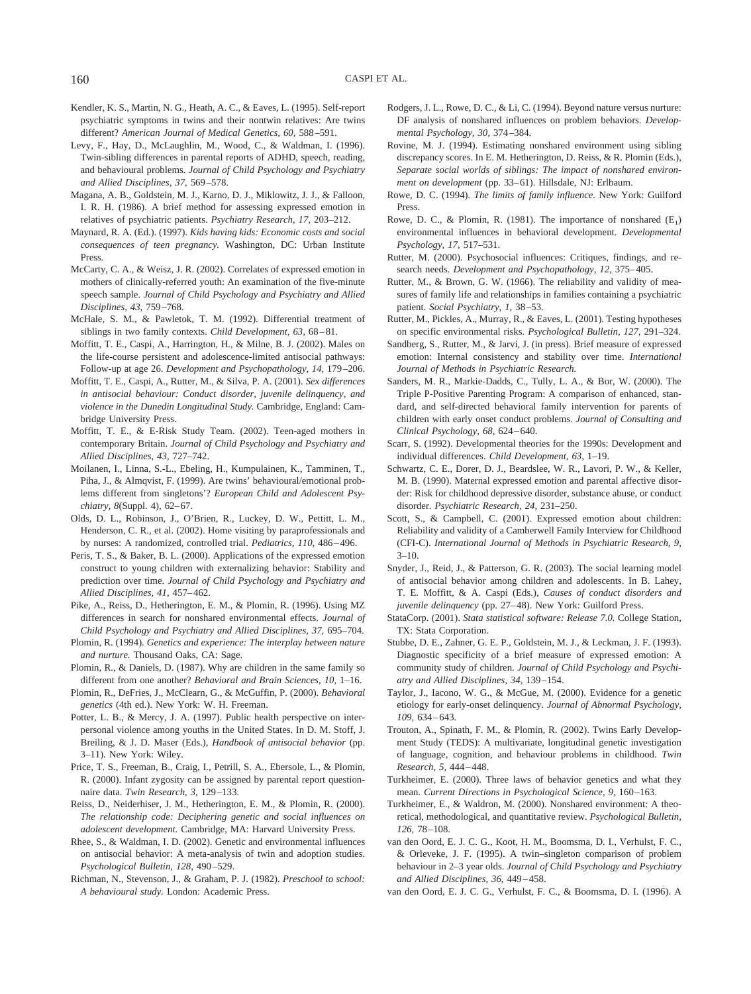- Kendler, K. S., Martin, N. G., Heath, A. C., & Eaves, L. (1995). Self-report psychiatric symptoms in twins and their nontwin relatives: Are twins different? *American Journal of Medical Genetics, 60,* 588–591.
- Levy, F., Hay, D., McLaughlin, M., Wood, C., & Waldman, I. (1996). Twin-sibling differences in parental reports of ADHD, speech, reading, and behavioural problems. *Journal of Child Psychology and Psychiatry and Allied Disciplines, 37,* 569–578.
- Magana, A. B., Goldstein, M. J., Karno, D. J., Miklowitz, J. J., & Falloon, I. R. H. (1986). A brief method for assessing expressed emotion in relatives of psychiatric patients. *Psychiatry Research, 17,* 203–212.
- Maynard, R. A. (Ed.). (1997). *Kids having kids: Economic costs and social consequences of teen pregnancy.* Washington, DC: Urban Institute Press.
- McCarty, C. A., & Weisz, J. R. (2002). Correlates of expressed emotion in mothers of clinically-referred youth: An examination of the five-minute speech sample. *Journal of Child Psychology and Psychiatry and Allied Disciplines, 43,* 759–768.
- McHale, S. M., & Pawletok, T. M. (1992). Differential treatment of siblings in two family contexts. *Child Development, 63,* 68–81.
- Moffitt, T. E., Caspi, A., Harrington, H., & Milne, B. J. (2002). Males on the life-course persistent and adolescence-limited antisocial pathways: Follow-up at age 26. *Development and Psychopathology, 14,* 179–206.
- Moffitt, T. E., Caspi, A., Rutter, M., & Silva, P. A. (2001). *Sex differences in antisocial behaviour: Conduct disorder, juvenile delinquency, and violence in the Dunedin Longitudinal Study.* Cambridge, England: Cambridge University Press.
- Moffitt, T. E., & E-Risk Study Team. (2002). Teen-aged mothers in contemporary Britain. *Journal of Child Psychology and Psychiatry and Allied Disciplines, 43,* 727–742.
- Moilanen, I., Linna, S.-L., Ebeling, H., Kumpulainen, K., Tamminen, T., Piha, J., & Almqvist, F. (1999). Are twins' behavioural/emotional problems different from singletons'? *European Child and Adolescent Psychiatry, 8*(Suppl. 4), 62–67.
- Olds, D. L., Robinson, J., O'Brien, R., Luckey, D. W., Pettitt, L. M., Henderson, C. R., et al. (2002). Home visiting by paraprofessionals and by nurses: A randomized, controlled trial. *Pediatrics, 110,* 486–496.
- Peris, T. S., & Baker, B. L. (2000). Applications of the expressed emotion construct to young children with externalizing behavior: Stability and prediction over time. *Journal of Child Psychology and Psychiatry and Allied Disciplines, 41,* 457–462.
- Pike, A., Reiss, D., Hetherington, E. M., & Plomin, R. (1996). Using MZ differences in search for nonshared environmental effects. *Journal of Child Psychology and Psychiatry and Allied Disciplines, 37,* 695–704.
- Plomin, R. (1994). *Genetics and experience: The interplay between nature and nurture.* Thousand Oaks, CA: Sage.
- Plomin, R., & Daniels, D. (1987). Why are children in the same family so different from one another? *Behavioral and Brain Sciences, 10,* 1–16.
- Plomin, R., DeFries, J., McClearn, G., & McGuffin, P. (2000). *Behavioral genetics* (4th ed.). New York: W. H. Freeman.
- Potter, L. B., & Mercy, J. A. (1997). Public health perspective on interpersonal violence among youths in the United States. In D. M. Stoff, J. Breiling, & J. D. Maser (Eds.), *Handbook of antisocial behavior* (pp. 3–11). New York: Wiley.
- Price, T. S., Freeman, B., Craig, I., Petrill, S. A., Ebersole, L., & Plomin, R. (2000). Infant zygosity can be assigned by parental report questionnaire data. *Twin Research, 3,* 129–133.
- Reiss, D., Neiderhiser, J. M., Hetherington, E. M., & Plomin, R. (2000). *The relationship code: Deciphering genetic and social influences on adolescent development.* Cambridge, MA: Harvard University Press.
- Rhee, S., & Waldman, I. D. (2002). Genetic and environmental influences on antisocial behavior: A meta-analysis of twin and adoption studies. *Psychological Bulletin, 128,* 490–529.
- Richman, N., Stevenson, J., & Graham, P. J. (1982). *Preschool to school: A behavioural study.* London: Academic Press.
- Rodgers, J. L., Rowe, D. C., & Li, C. (1994). Beyond nature versus nurture: DF analysis of nonshared influences on problem behaviors. *Developmental Psychology, 30,* 374–384.
- Rovine, M. J. (1994). Estimating nonshared environment using sibling discrepancy scores. In E. M. Hetherington, D. Reiss, & R. Plomin (Eds.), *Separate social worlds of siblings: The impact of nonshared environment on development* (pp. 33–61). Hillsdale, NJ: Erlbaum.
- Rowe, D. C. (1994). *The limits of family influence.* New York: Guilford Press.
- Rowe, D. C., & Plomin, R. (1981). The importance of nonshared  $(E_1)$ environmental influences in behavioral development. *Developmental Psychology, 17,* 517–531.
- Rutter, M. (2000). Psychosocial influences: Critiques, findings, and research needs. *Development and Psychopathology, 12,* 375–405.
- Rutter, M., & Brown, G. W. (1966). The reliability and validity of measures of family life and relationships in families containing a psychiatric patient. *Social Psychiatry, 1,* 38–53.
- Rutter, M., Pickles, A., Murray, R., & Eaves, L. (2001). Testing hypotheses on specific environmental risks. *Psychological Bulletin, 127,* 291–324.
- Sandberg, S., Rutter, M., & Jarvi, J. (in press). Brief measure of expressed emotion: Internal consistency and stability over time. *International Journal of Methods in Psychiatric Research.*
- Sanders, M. R., Markie-Dadds, C., Tully, L. A., & Bor, W. (2000). The Triple P-Positive Parenting Program: A comparison of enhanced, standard, and self-directed behavioral family intervention for parents of children with early onset conduct problems. *Journal of Consulting and Clinical Psychology, 68,* 624–640.
- Scarr, S. (1992). Developmental theories for the 1990s: Development and individual differences. *Child Development, 63,* 1–19.
- Schwartz, C. E., Dorer, D. J., Beardslee, W. R., Lavori, P. W., & Keller, M. B. (1990). Maternal expressed emotion and parental affective disorder: Risk for childhood depressive disorder, substance abuse, or conduct disorder. *Psychiatric Research, 24,* 231–250.
- Scott, S., & Campbell, C. (2001). Expressed emotion about children: Reliability and validity of a Camberwell Family Interview for Childhood (CFI-C). *International Journal of Methods in Psychiatric Research, 9,*  $3 - 10$
- Snyder, J., Reid, J., & Patterson, G. R. (2003). The social learning model of antisocial behavior among children and adolescents. In B. Lahey, T. E. Moffitt, & A. Caspi (Eds.), *Causes of conduct disorders and juvenile delinquency* (pp. 27–48). New York: Guilford Press.
- StataCorp. (2001). *Stata statistical software: Release 7.0.* College Station, TX: Stata Corporation.
- Stubbe, D. E., Zahner, G. E. P., Goldstein, M. J., & Leckman, J. F. (1993). Diagnostic specificity of a brief measure of expressed emotion: A community study of children. *Journal of Child Psychology and Psychiatry and Allied Disciplines, 34,* 139–154.
- Taylor, J., Iacono, W. G., & McGue, M. (2000). Evidence for a genetic etiology for early-onset delinquency. *Journal of Abnormal Psychology, 109,* 634–643.
- Trouton, A., Spinath, F. M., & Plomin, R. (2002). Twins Early Development Study (TEDS): A multivariate, longitudinal genetic investigation of language, cognition, and behaviour problems in childhood. *Twin Research, 5,* 444–448.
- Turkheimer, E. (2000). Three laws of behavior genetics and what they mean. *Current Directions in Psychological Science, 9,* 160–163.
- Turkheimer, E., & Waldron, M. (2000). Nonshared environment: A theoretical, methodological, and quantitative review. *Psychological Bulletin, 126,* 78–108.
- van den Oord, E. J. C. G., Koot, H. M., Boomsma, D. I., Verhulst, F. C., & Orleveke, J. F. (1995). A twin–singleton comparison of problem behaviour in 2–3 year olds. *Journal of Child Psychology and Psychiatry and Allied Disciplines, 36,* 449–458.
- van den Oord, E. J. C. G., Verhulst, F. C., & Boomsma, D. I. (1996). A